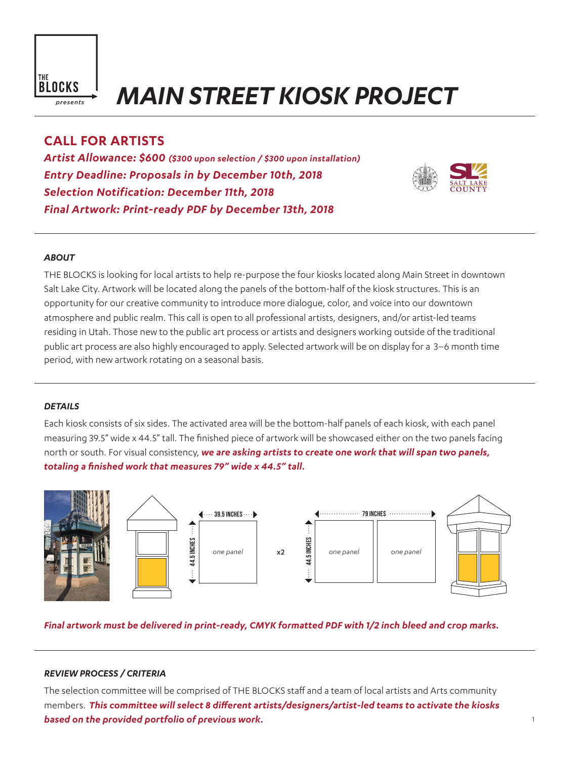

# *MAIN STREET KIOSK PROJECT*

# **CALL FOR ARTISTS**

*Artist Allowance: \$600 (\$300 upon selection / \$300 upon installation) Entry Deadline: Proposals in by December 10th, 2018 Selection Notification: December 11th, 2018 Final Artwork: Print-ready PDF by December 13th, 2018*



## *ABOUT*

THE BLOCKS is looking for local artists to help re-purpose the four kiosks located along Main Street in downtown Salt Lake City. Artwork will be located along the panels of the bottom-half of the kiosk structures. This is an opportunity for our creative community to introduce more dialogue, color, and voice into our downtown atmosphere and public realm. This call is open to all professional artists, designers, and/or artist-led teams residing in Utah. Those new to the public art process or artists and designers working outside of the traditional public art process are also highly encouraged to apply. Selected artwork will be on display for a 3–6 month time period, with new artwork rotating on a seasonal basis.

#### *DETAILS*

Each kiosk consists of six sides. The activated area will be the bottom-half panels of each kiosk, with each panel measuring 39.5" wide x 44.5" tall. The finished piece of artwork will be showcased either on the two panels facing north or south. For visual consistency, *we are asking artists to create one work that will span two panels, totaling a finished work that measures 79" wide x 44.5" tall.*



## *Final artwork must be delivered in print-ready, CMYK formatted PDF with 1/2 inch bleed and crop marks.*

#### *REVIEW PROCESS / CRITERIA*

The selection committee will be comprised of THE BLOCKS staff and a team of local artists and Arts community members. *This committee will select 8 different artists/designers/artist-led teams to activate the kiosks based on the provided portfolio of previous work.*